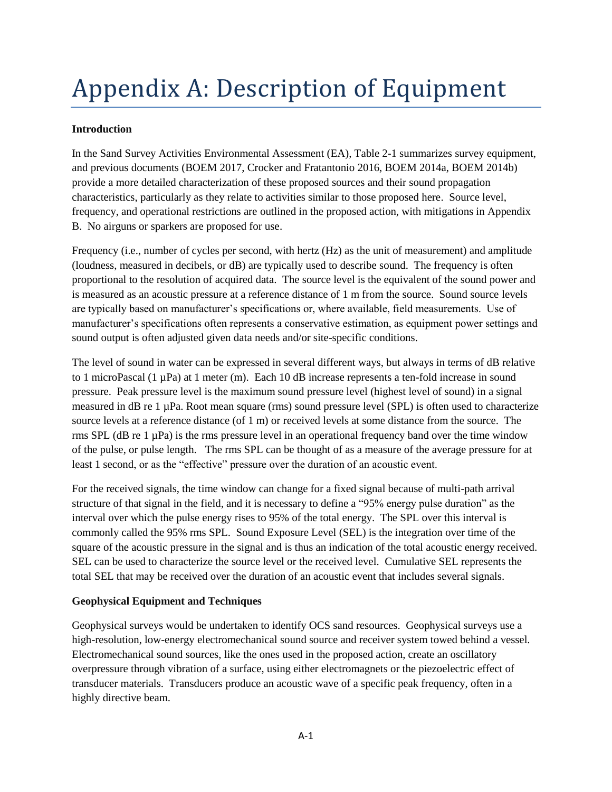# Appendix A: Description of Equipment

### **Introduction**

In the Sand Survey Activities Environmental Assessment (EA), Table 2-1 summarizes survey equipment, and previous documents (BOEM 2017, Crocker and Fratantonio 2016, BOEM 2014a, BOEM 2014b) provide a more detailed characterization of these proposed sources and their sound propagation characteristics, particularly as they relate to activities similar to those proposed here. Source level, frequency, and operational restrictions are outlined in the proposed action, with mitigations in Appendix B. No airguns or sparkers are proposed for use.

Frequency (i.e., number of cycles per second, with hertz (Hz) as the unit of measurement) and amplitude (loudness, measured in decibels, or dB) are typically used to describe sound. The frequency is often proportional to the resolution of acquired data. The source level is the equivalent of the sound power and is measured as an acoustic pressure at a reference distance of 1 m from the source. Sound source levels are typically based on manufacturer's specifications or, where available, field measurements. Use of manufacturer's specifications often represents a conservative estimation, as equipment power settings and sound output is often adjusted given data needs and/or site-specific conditions.

The level of sound in water can be expressed in several different ways, but always in terms of dB relative to 1 microPascal (1 µPa) at 1 meter (m). Each 10 dB increase represents a ten-fold increase in sound pressure. Peak pressure level is the maximum sound pressure level (highest level of sound) in a signal measured in dB re 1 µPa. Root mean square (rms) sound pressure level (SPL) is often used to characterize source levels at a reference distance (of 1 m) or received levels at some distance from the source. The rms SPL (dB re 1 µPa) is the rms pressure level in an operational frequency band over the time window of the pulse, or pulse length. The rms SPL can be thought of as a measure of the average pressure for at least 1 second, or as the "effective" pressure over the duration of an acoustic event.

For the received signals, the time window can change for a fixed signal because of multi-path arrival structure of that signal in the field, and it is necessary to define a "95% energy pulse duration" as the interval over which the pulse energy rises to 95% of the total energy. The SPL over this interval is commonly called the 95% rms SPL. Sound Exposure Level (SEL) is the integration over time of the square of the acoustic pressure in the signal and is thus an indication of the total acoustic energy received. SEL can be used to characterize the source level or the received level. Cumulative SEL represents the total SEL that may be received over the duration of an acoustic event that includes several signals.

#### **Geophysical Equipment and Techniques**

Geophysical surveys would be undertaken to identify OCS sand resources. Geophysical surveys use a high-resolution, low-energy electromechanical sound source and receiver system towed behind a vessel. Electromechanical sound sources, like the ones used in the proposed action, create an oscillatory overpressure through vibration of a surface, using either electromagnets or the piezoelectric effect of transducer materials. Transducers produce an acoustic wave of a specific peak frequency, often in a highly directive beam.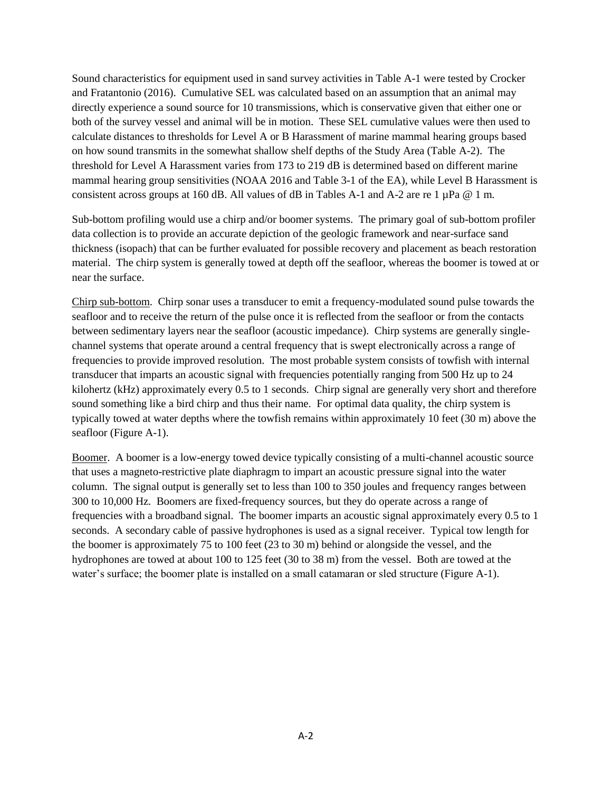Sound characteristics for equipment used in sand survey activities in Table A-1 were tested by Crocker and Fratantonio (2016). Cumulative SEL was calculated based on an assumption that an animal may directly experience a sound source for 10 transmissions, which is conservative given that either one or both of the survey vessel and animal will be in motion. These SEL cumulative values were then used to calculate distances to thresholds for Level A or B Harassment of marine mammal hearing groups based on how sound transmits in the somewhat shallow shelf depths of the Study Area (Table A-2). The threshold for Level A Harassment varies from 173 to 219 dB is determined based on different marine mammal hearing group sensitivities (NOAA 2016 and Table 3-1 of the EA), while Level B Harassment is consistent across groups at 160 dB. All values of dB in Tables A-1 and A-2 are re 1  $\mu$ Pa @ 1 m.

Sub-bottom profiling would use a chirp and/or boomer systems. The primary goal of sub-bottom profiler data collection is to provide an accurate depiction of the geologic framework and near-surface sand thickness (isopach) that can be further evaluated for possible recovery and placement as beach restoration material. The chirp system is generally towed at depth off the seafloor, whereas the boomer is towed at or near the surface.

Chirp sub-bottom. Chirp sonar uses a transducer to emit a frequency-modulated sound pulse towards the seafloor and to receive the return of the pulse once it is reflected from the seafloor or from the contacts between sedimentary layers near the seafloor (acoustic impedance). Chirp systems are generally singlechannel systems that operate around a central frequency that is swept electronically across a range of frequencies to provide improved resolution. The most probable system consists of towfish with internal transducer that imparts an acoustic signal with frequencies potentially ranging from 500 Hz up to 24 kilohertz (kHz) approximately every 0.5 to 1 seconds. Chirp signal are generally very short and therefore sound something like a bird chirp and thus their name. For optimal data quality, the chirp system is typically towed at water depths where the towfish remains within approximately 10 feet (30 m) above the seafloor (Figure A-1).

Boomer. A boomer is a low-energy towed device typically consisting of a multi-channel acoustic source that uses a magneto-restrictive plate diaphragm to impart an acoustic pressure signal into the water column. The signal output is generally set to less than 100 to 350 joules and frequency ranges between 300 to 10,000 Hz. Boomers are fixed-frequency sources, but they do operate across a range of frequencies with a broadband signal. The boomer imparts an acoustic signal approximately every 0.5 to 1 seconds. A secondary cable of passive hydrophones is used as a signal receiver. Typical tow length for the boomer is approximately 75 to 100 feet (23 to 30 m) behind or alongside the vessel, and the hydrophones are towed at about 100 to 125 feet (30 to 38 m) from the vessel. Both are towed at the water's surface; the boomer plate is installed on a small catamaran or sled structure (Figure A-1).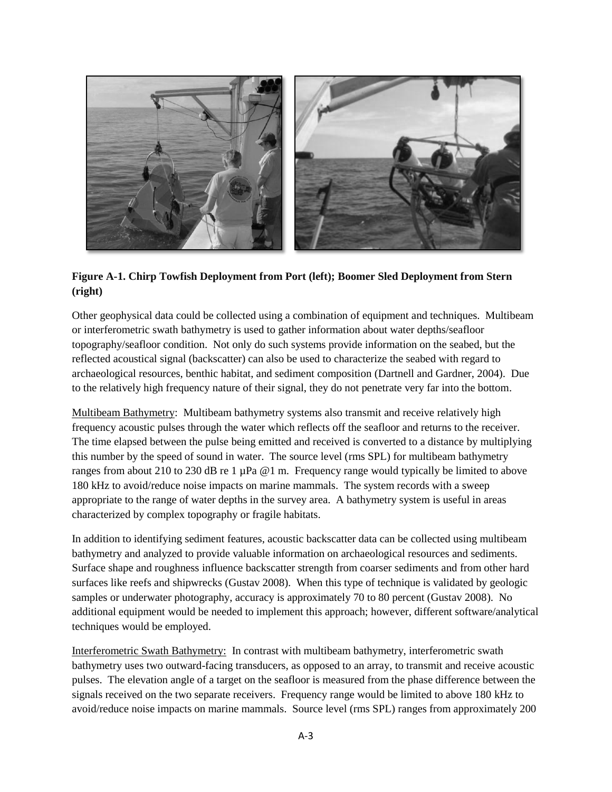

## **Figure A-1. Chirp Towfish Deployment from Port (left); Boomer Sled Deployment from Stern (right)**

Other geophysical data could be collected using a combination of equipment and techniques. Multibeam or interferometric swath bathymetry is used to gather information about water depths/seafloor topography/seafloor condition. Not only do such systems provide information on the seabed, but the reflected acoustical signal (backscatter) can also be used to characterize the seabed with regard to archaeological resources, benthic habitat, and sediment composition (Dartnell and Gardner, 2004). Due to the relatively high frequency nature of their signal, they do not penetrate very far into the bottom.

Multibeam Bathymetry: Multibeam bathymetry systems also transmit and receive relatively high frequency acoustic pulses through the water which reflects off the seafloor and returns to the receiver. The time elapsed between the pulse being emitted and received is converted to a distance by multiplying this number by the speed of sound in water. The source level (rms SPL) for multibeam bathymetry ranges from about 210 to 230 dB re 1 µPa @1 m. Frequency range would typically be limited to above 180 kHz to avoid/reduce noise impacts on marine mammals. The system records with a sweep appropriate to the range of water depths in the survey area. A bathymetry system is useful in areas characterized by complex topography or fragile habitats.

In addition to identifying sediment features, acoustic backscatter data can be collected using multibeam bathymetry and analyzed to provide valuable information on archaeological resources and sediments. Surface shape and roughness influence backscatter strength from coarser sediments and from other hard surfaces like reefs and shipwrecks (Gustav 2008). When this type of technique is validated by geologic samples or underwater photography, accuracy is approximately 70 to 80 percent (Gustav 2008). No additional equipment would be needed to implement this approach; however, different software/analytical techniques would be employed.

Interferometric Swath Bathymetry: In contrast with multibeam bathymetry, interferometric swath bathymetry uses two outward-facing transducers, as opposed to an array, to transmit and receive acoustic pulses. The elevation angle of a target on the seafloor is measured from the phase difference between the signals received on the two separate receivers. Frequency range would be limited to above 180 kHz to avoid/reduce noise impacts on marine mammals. Source level (rms SPL) ranges from approximately 200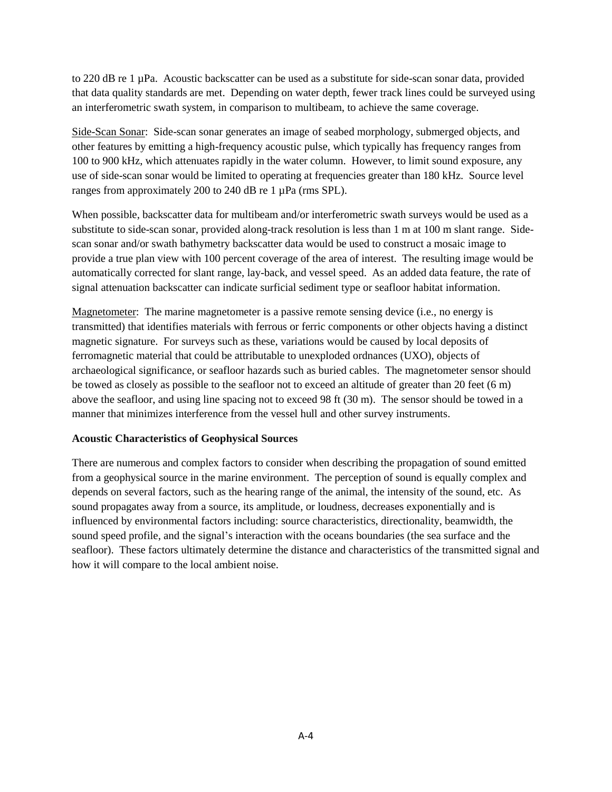to 220 dB re 1 µPa. Acoustic backscatter can be used as a substitute for side-scan sonar data, provided that data quality standards are met. Depending on water depth, fewer track lines could be surveyed using an interferometric swath system, in comparison to multibeam, to achieve the same coverage.

Side-Scan Sonar: Side-scan sonar generates an image of seabed morphology, submerged objects, and other features by emitting a high-frequency acoustic pulse, which typically has frequency ranges from 100 to 900 kHz, which attenuates rapidly in the water column. However, to limit sound exposure, any use of side-scan sonar would be limited to operating at frequencies greater than 180 kHz. Source level ranges from approximately 200 to 240 dB re 1 µPa (rms SPL).

When possible, backscatter data for multibeam and/or interferometric swath surveys would be used as a substitute to side-scan sonar, provided along-track resolution is less than 1 m at 100 m slant range. Sidescan sonar and/or swath bathymetry backscatter data would be used to construct a mosaic image to provide a true plan view with 100 percent coverage of the area of interest. The resulting image would be automatically corrected for slant range, lay-back, and vessel speed. As an added data feature, the rate of signal attenuation backscatter can indicate surficial sediment type or seafloor habitat information.

Magnetometer: The marine magnetometer is a passive remote sensing device (i.e., no energy is transmitted) that identifies materials with ferrous or ferric components or other objects having a distinct magnetic signature. For surveys such as these, variations would be caused by local deposits of ferromagnetic material that could be attributable to unexploded ordnances (UXO), objects of archaeological significance, or seafloor hazards such as buried cables. The magnetometer sensor should be towed as closely as possible to the seafloor not to exceed an altitude of greater than 20 feet (6 m) above the seafloor, and using line spacing not to exceed 98 ft (30 m). The sensor should be towed in a manner that minimizes interference from the vessel hull and other survey instruments.

#### **Acoustic Characteristics of Geophysical Sources**

There are numerous and complex factors to consider when describing the propagation of sound emitted from a geophysical source in the marine environment. The perception of sound is equally complex and depends on several factors, such as the hearing range of the animal, the intensity of the sound, etc. As sound propagates away from a source, its amplitude, or loudness, decreases exponentially and is influenced by environmental factors including: source characteristics, directionality, beamwidth, the sound speed profile, and the signal's interaction with the oceans boundaries (the sea surface and the seafloor). These factors ultimately determine the distance and characteristics of the transmitted signal and how it will compare to the local ambient noise.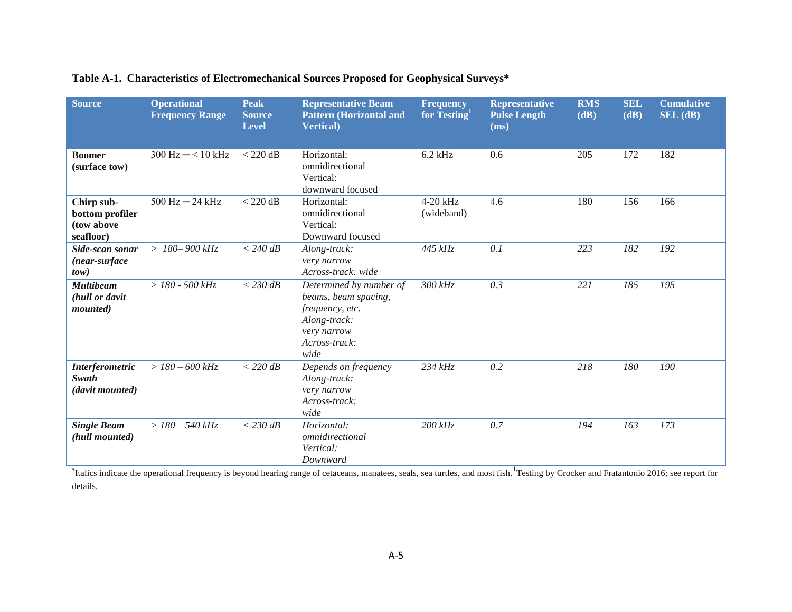| <b>Source</b>                                            | <b>Operational</b><br><b>Frequency Range</b> | <b>Peak</b><br><b>Source</b><br><b>Level</b> | <b>Representative Beam</b><br><b>Pattern (Horizontal and</b><br><b>Vertical</b> )                                          | <b>Frequency</b><br>for Testing <sup>1</sup> | <b>Representative</b><br><b>Pulse Length</b><br>(ms) | <b>RMS</b><br>(dB) | <b>SEL</b><br>(dB) | <b>Cumulative</b><br>$SEL$ (dB) |
|----------------------------------------------------------|----------------------------------------------|----------------------------------------------|----------------------------------------------------------------------------------------------------------------------------|----------------------------------------------|------------------------------------------------------|--------------------|--------------------|---------------------------------|
| <b>Boomer</b><br>(surface tow)                           | $300 \text{ Hz} - 510 \text{ kHz}$           | $<$ 220 dB                                   | Horizontal:<br>omnidirectional<br>Vertical:<br>downward focused                                                            | $6.2$ kHz                                    | 0.6                                                  | 205                | 172                | 182                             |
| Chirp sub-<br>bottom profiler<br>(tow above<br>seafloor) | $500$ Hz $-$ 24 kHz                          | $<$ 220 dB                                   | Horizontal:<br>omnidirectional<br>Vertical:<br>Downward focused                                                            | 4-20 kHz<br>(wideband)                       | 4.6                                                  | 180                | 156                | 166                             |
| Side-scan sonar<br>(near-surface<br>tow)                 | $>180-900$ kHz                               | $<$ 240 dB                                   | Along-track:<br>very narrow<br>Across-track: wide                                                                          | 445 kHz                                      | 0.1                                                  | 223                | 182                | 192                             |
| <b>Multibeam</b><br>(hull or davit<br><i>mounted</i> )   | $> 180 - 500$ kHz                            | $<$ 230 dB                                   | Determined by number of<br>beams, beam spacing,<br>frequency, etc.<br>Along-track:<br>very narrow<br>Across-track:<br>wide | 300 kHz                                      | 0.3                                                  | 221                | 185                | 195                             |
| <b>Interferometric</b><br>Swath<br>(davit mounted)       | $> 180 - 600$ kHz                            | $<$ 220 dB                                   | Depends on frequency<br>Along-track:<br>very narrow<br>Across-track:<br>wide                                               | 234 kHz                                      | 0.2                                                  | 218                | 180                | 190                             |
| <b>Single Beam</b><br>(hull mounted)                     | $> 180 - 540$ kHz                            | $<$ 230 dB                                   | Horizontal:<br>omnidirectional<br>Vertical:<br>Downward                                                                    | $200$ $kHz$                                  | 0.7                                                  | 194                | 163                | 173                             |

## **Table A-1. Characteristics of Electromechanical Sources Proposed for Geophysical Surveys\***

<sup>\*</sup>Italics indicate the operational frequency is beyond hearing range of cetaceans, manatees, seals, sea turtles, and most fish. <sup>1</sup>Testing by Crocker and Fratantonio 2016; see report for details.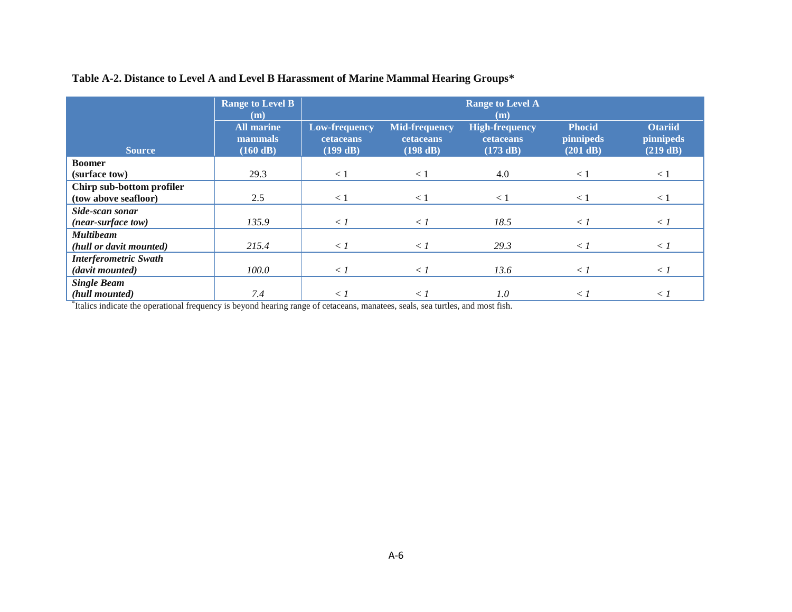|                              | <b>Range to Level B</b><br>(m)           |                                               |                                               | <b>Range to Level A</b><br>(m)                 |                                               |                                                |
|------------------------------|------------------------------------------|-----------------------------------------------|-----------------------------------------------|------------------------------------------------|-----------------------------------------------|------------------------------------------------|
| <b>Source</b>                | <b>All marine</b><br>mammals<br>(160 dB) | <b>Low-frequency</b><br>cetaceans<br>(199 dB) | Mid-frequency<br><b>cetaceans</b><br>(198 dB) | <b>High-frequency</b><br>cetaceans<br>(173 dB) | <b>Phocid</b><br><i>pinnipeds</i><br>(201 dB) | <b>Otariid</b><br><i>pinnipeds</i><br>(219 dB) |
| <b>Boomer</b>                |                                          |                                               |                                               |                                                |                                               |                                                |
| (surface tow)                | 29.3                                     | $\lt 1$                                       | < 1                                           | 4.0                                            | $\lt 1$                                       | $\lt 1$                                        |
| Chirp sub-bottom profiler    |                                          |                                               |                                               |                                                |                                               |                                                |
| (tow above seafloor)         | 2.5                                      | $\lt 1$                                       | < 1                                           | $\leq$ 1                                       | $\lt 1$                                       | $\lt 1$                                        |
| Side-scan sonar              |                                          |                                               |                                               |                                                |                                               |                                                |
| (near-surface tow)           | 135.9                                    | $\langle l$                                   | $\langle l$                                   | 18.5                                           | $\langle l$                                   | $\langle l$                                    |
| <b>Multibeam</b>             |                                          |                                               |                                               |                                                |                                               |                                                |
| (hull or davit mounted)      | 215.4                                    | $\langle l$                                   | $\langle l$                                   | 29.3                                           | $\langle l$                                   | $\langle l$                                    |
| <b>Interferometric Swath</b> |                                          |                                               |                                               |                                                |                                               |                                                |
| (davit mounted)              | 100.0                                    | $\langle l$                                   | $\langle l$                                   | 13.6                                           | $\langle l$                                   | $\langle l$                                    |
| <b>Single Beam</b>           |                                          |                                               |                                               |                                                |                                               |                                                |
| (hull mounted)               | 7.4                                      | $\langle l$                                   | $\langle$ 1                                   | $1.0\,$                                        | $\langle l$                                   | $\langle l$                                    |

## **Table A-2. Distance to Level A and Level B Harassment of Marine Mammal Hearing Groups\***

\* Italics indicate the operational frequency is beyond hearing range of cetaceans, manatees, seals, sea turtles, and most fish.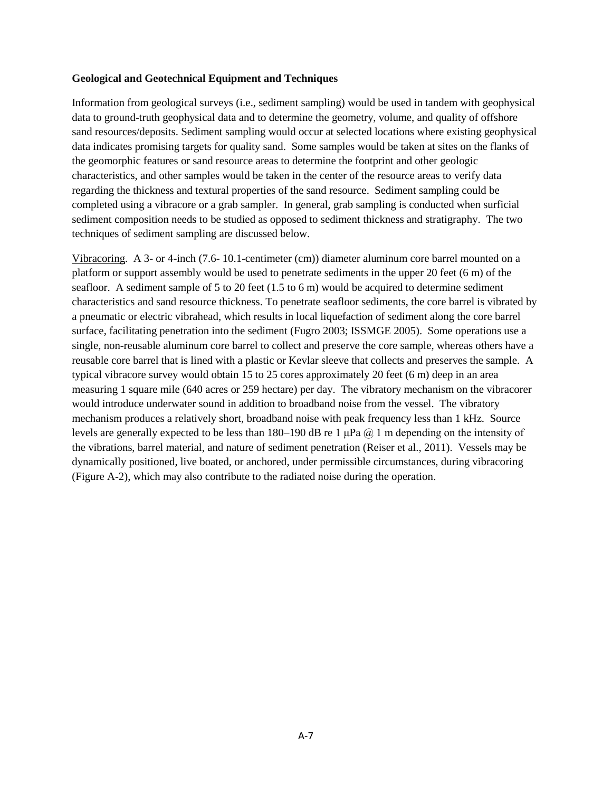#### **Geological and Geotechnical Equipment and Techniques**

Information from geological surveys (i.e., sediment sampling) would be used in tandem with geophysical data to ground-truth geophysical data and to determine the geometry, volume, and quality of offshore sand resources/deposits. Sediment sampling would occur at selected locations where existing geophysical data indicates promising targets for quality sand. Some samples would be taken at sites on the flanks of the geomorphic features or sand resource areas to determine the footprint and other geologic characteristics, and other samples would be taken in the center of the resource areas to verify data regarding the thickness and textural properties of the sand resource. Sediment sampling could be completed using a vibracore or a grab sampler. In general, grab sampling is conducted when surficial sediment composition needs to be studied as opposed to sediment thickness and stratigraphy. The two techniques of sediment sampling are discussed below.

Vibracoring. A 3- or 4-inch (7.6- 10.1-centimeter (cm)) diameter aluminum core barrel mounted on a platform or support assembly would be used to penetrate sediments in the upper 20 feet (6 m) of the seafloor. A sediment sample of 5 to 20 feet (1.5 to 6 m) would be acquired to determine sediment characteristics and sand resource thickness. To penetrate seafloor sediments, the core barrel is vibrated by a pneumatic or electric vibrahead, which results in local liquefaction of sediment along the core barrel surface, facilitating penetration into the sediment (Fugro 2003; ISSMGE 2005). Some operations use a single, non-reusable aluminum core barrel to collect and preserve the core sample, whereas others have a reusable core barrel that is lined with a plastic or Kevlar sleeve that collects and preserves the sample. A typical vibracore survey would obtain 15 to 25 cores approximately 20 feet (6 m) deep in an area measuring 1 square mile (640 acres or 259 hectare) per day. The vibratory mechanism on the vibracorer would introduce underwater sound in addition to broadband noise from the vessel. The vibratory mechanism produces a relatively short, broadband noise with peak frequency less than 1 kHz. Source levels are generally expected to be less than 180–190 dB re 1  $\mu$ Pa @ 1 m depending on the intensity of the vibrations, barrel material, and nature of sediment penetration (Reiser et al., 2011). Vessels may be dynamically positioned, live boated, or anchored, under permissible circumstances, during vibracoring (Figure A-2), which may also contribute to the radiated noise during the operation.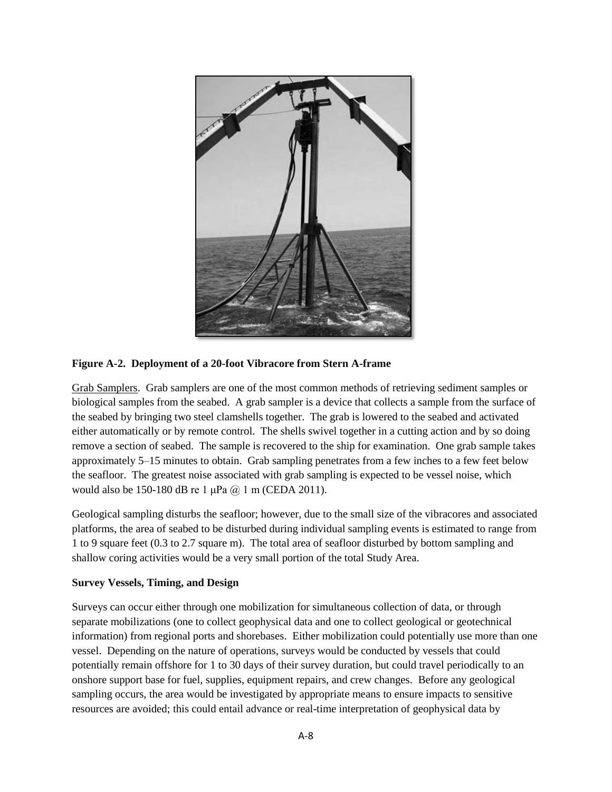

**Figure A-2. Deployment of a 20-foot Vibracore from Stern A-frame**

Grab Samplers. Grab samplers are one of the most common methods of retrieving sediment samples or biological samples from the seabed. A grab sampler is a device that collects a sample from the surface of the seabed by bringing two steel clamshells together. The grab is lowered to the seabed and activated either automatically or by remote control. The shells swivel together in a cutting action and by so doing remove a section of seabed. The sample is recovered to the ship for examination. One grab sample takes approximately 5–15 minutes to obtain. Grab sampling penetrates from a few inches to a few feet below the seafloor. The greatest noise associated with grab sampling is expected to be vessel noise, which would also be 150-180 dB re 1 μPa @ 1 m (CEDA 2011).

Geological sampling disturbs the seafloor; however, due to the small size of the vibracores and associated platforms, the area of seabed to be disturbed during individual sampling events is estimated to range from 1 to 9 square feet (0.3 to 2.7 square m). The total area of seafloor disturbed by bottom sampling and shallow coring activities would be a very small portion of the total Study Area.

### **Survey Vessels, Timing, and Design**

Surveys can occur either through one mobilization for simultaneous collection of data, or through separate mobilizations (one to collect geophysical data and one to collect geological or geotechnical information) from regional ports and shorebases. Either mobilization could potentially use more than one vessel. Depending on the nature of operations, surveys would be conducted by vessels that could potentially remain offshore for 1 to 30 days of their survey duration, but could travel periodically to an onshore support base for fuel, supplies, equipment repairs, and crew changes. Before any geological sampling occurs, the area would be investigated by appropriate means to ensure impacts to sensitive resources are avoided; this could entail advance or real-time interpretation of geophysical data by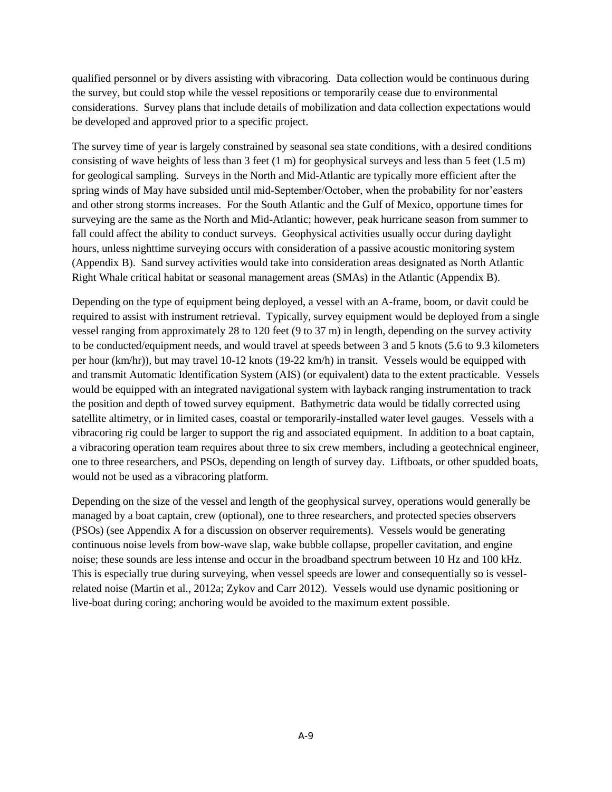qualified personnel or by divers assisting with vibracoring. Data collection would be continuous during the survey, but could stop while the vessel repositions or temporarily cease due to environmental considerations. Survey plans that include details of mobilization and data collection expectations would be developed and approved prior to a specific project.

The survey time of year is largely constrained by seasonal sea state conditions, with a desired conditions consisting of wave heights of less than 3 feet  $(1 \text{ m})$  for geophysical surveys and less than 5 feet  $(1.5 \text{ m})$ for geological sampling. Surveys in the North and Mid-Atlantic are typically more efficient after the spring winds of May have subsided until mid-September/October, when the probability for nor'easters and other strong storms increases. For the South Atlantic and the Gulf of Mexico, opportune times for surveying are the same as the North and Mid-Atlantic; however, peak hurricane season from summer to fall could affect the ability to conduct surveys. Geophysical activities usually occur during daylight hours, unless nighttime surveying occurs with consideration of a passive acoustic monitoring system (Appendix B). Sand survey activities would take into consideration areas designated as North Atlantic Right Whale critical habitat or seasonal management areas (SMAs) in the Atlantic (Appendix B).

Depending on the type of equipment being deployed, a vessel with an A-frame, boom, or davit could be required to assist with instrument retrieval. Typically, survey equipment would be deployed from a single vessel ranging from approximately 28 to 120 feet (9 to 37 m) in length, depending on the survey activity to be conducted/equipment needs, and would travel at speeds between 3 and 5 knots (5.6 to 9.3 kilometers per hour (km/hr)), but may travel 10-12 knots (19-22 km/h) in transit. Vessels would be equipped with and transmit Automatic Identification System (AIS) (or equivalent) data to the extent practicable. Vessels would be equipped with an integrated navigational system with layback ranging instrumentation to track the position and depth of towed survey equipment. Bathymetric data would be tidally corrected using satellite altimetry, or in limited cases, coastal or temporarily-installed water level gauges. Vessels with a vibracoring rig could be larger to support the rig and associated equipment. In addition to a boat captain, a vibracoring operation team requires about three to six crew members, including a geotechnical engineer, one to three researchers, and PSOs, depending on length of survey day. Liftboats, or other spudded boats, would not be used as a vibracoring platform.

Depending on the size of the vessel and length of the geophysical survey, operations would generally be managed by a boat captain, crew (optional), one to three researchers, and protected species observers (PSOs) (see Appendix A for a discussion on observer requirements). Vessels would be generating continuous noise levels from bow-wave slap, wake bubble collapse, propeller cavitation, and engine noise; these sounds are less intense and occur in the broadband spectrum between 10 Hz and 100 kHz. This is especially true during surveying, when vessel speeds are lower and consequentially so is vesselrelated noise (Martin et al., 2012a; Zykov and Carr 2012). Vessels would use dynamic positioning or live-boat during coring; anchoring would be avoided to the maximum extent possible.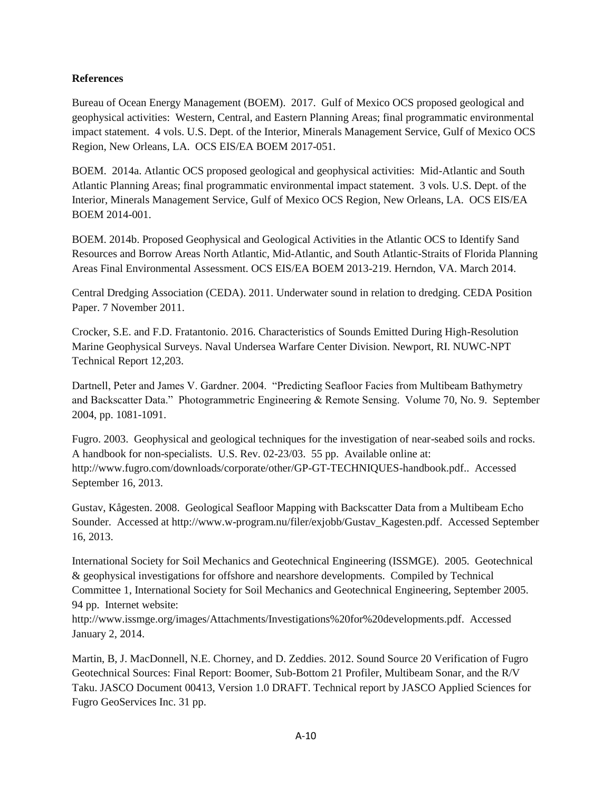#### **References**

Bureau of Ocean Energy Management (BOEM). 2017. Gulf of Mexico OCS proposed geological and geophysical activities: Western, Central, and Eastern Planning Areas; final programmatic environmental impact statement. 4 vols. U.S. Dept. of the Interior, Minerals Management Service, Gulf of Mexico OCS Region, New Orleans, LA. OCS EIS/EA BOEM 2017-051.

BOEM. 2014a. Atlantic OCS proposed geological and geophysical activities: Mid-Atlantic and South Atlantic Planning Areas; final programmatic environmental impact statement. 3 vols. U.S. Dept. of the Interior, Minerals Management Service, Gulf of Mexico OCS Region, New Orleans, LA. OCS EIS/EA BOEM 2014-001.

BOEM. 2014b. Proposed Geophysical and Geological Activities in the Atlantic OCS to Identify Sand Resources and Borrow Areas North Atlantic, Mid-Atlantic, and South Atlantic-Straits of Florida Planning Areas Final Environmental Assessment. OCS EIS/EA BOEM 2013-219. Herndon, VA. March 2014.

Central Dredging Association (CEDA). 2011. Underwater sound in relation to dredging. CEDA Position Paper. 7 November 2011.

Crocker, S.E. and F.D. Fratantonio. 2016. Characteristics of Sounds Emitted During High-Resolution Marine Geophysical Surveys. Naval Undersea Warfare Center Division. Newport, RI. NUWC-NPT Technical Report 12,203.

Dartnell, Peter and James V. Gardner. 2004. "Predicting Seafloor Facies from Multibeam Bathymetry and Backscatter Data." Photogrammetric Engineering & Remote Sensing. Volume 70, No. 9. September 2004, pp. 1081-1091.

Fugro. 2003. Geophysical and geological techniques for the investigation of near-seabed soils and rocks. A handbook for non-specialists. U.S. Rev. 02-23/03. 55 pp. Available online at: http://www.fugro.com/downloads/corporate/other/GP-GT-TECHNIQUES-handbook.pdf.. Accessed September 16, 2013.

Gustav, Kågesten. 2008. Geological Seafloor Mapping with Backscatter Data from a Multibeam Echo Sounder. Accessed at http://www.w-program.nu/filer/exjobb/Gustav\_Kagesten.pdf. Accessed September 16, 2013.

International Society for Soil Mechanics and Geotechnical Engineering (ISSMGE). 2005. Geotechnical & geophysical investigations for offshore and nearshore developments. Compiled by Technical Committee 1, International Society for Soil Mechanics and Geotechnical Engineering, September 2005. 94 pp. Internet website:

http://www.issmge.org/images/Attachments/Investigations%20for%20developments.pdf. Accessed January 2, 2014.

Martin, B, J. MacDonnell, N.E. Chorney, and D. Zeddies. 2012. Sound Source 20 Verification of Fugro Geotechnical Sources: Final Report: Boomer, Sub-Bottom 21 Profiler, Multibeam Sonar, and the R/V Taku. JASCO Document 00413, Version 1.0 DRAFT. Technical report by JASCO Applied Sciences for Fugro GeoServices Inc. 31 pp.